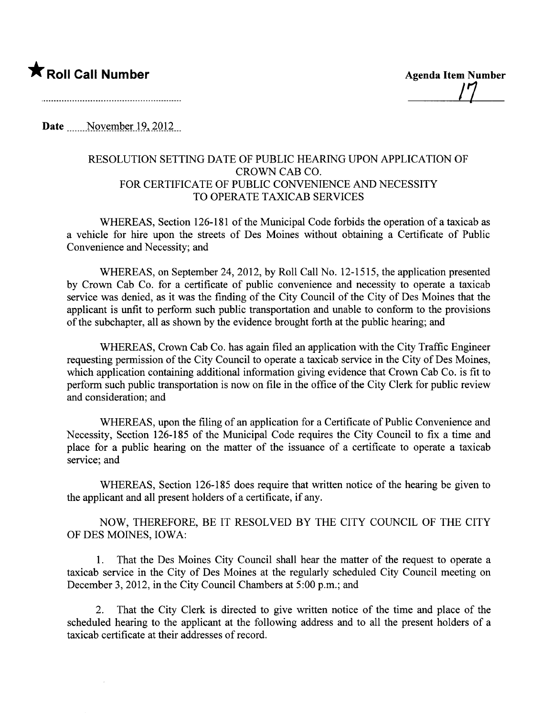## **\*** Roll Call Number Agenda Item Number

/7

Date  $\blacksquare$  November 19, 2012

#### RESOLUTION SETTING DATE OF PUBLIC HEARING UPON APPLICATION OF CROWN CAB CO. FOR CERTIFICATE OF PUBLIC CONVENIENCE AND NECESSITY TO OPERATE TAXICAB SERVICES

WHEREAS, Section 126-181 of the Municipal Code forbids the operation of a taxicab as a vehicle for hire upon the streets of Des Moines without obtaining a Certificate of Public Convenience and Necessity; and

WHEREAS, on September 24,2012, by Roll Call No. 12-1515, the application presented by Crown Cab Co. for a certificate of public convenience and necessity to operate a taxicab service was denied, as it was the finding of the City Council of the City of Des Moines that the applicant is unfit to perform such public transportation and unable to conform to the provisions of the subchapter, all as shown by the evidence brought forth at the public hearing; and

WHEREAS, Crown Cab Co. has again filed an application with the City Traffic Engineer requesting permission of the City Council to operate a taxicab service in the City of Des Moines, which application containing additional information giving evidence that Crown Cab Co. is fit to perform such public transportation is now on file in the office of the City Clerk for public review and consideration; and

WHEREAS, upon the filing of an application for a Certificate of Public Convenience and Necessity, Section 126-185 of the Municipal Code requires the City Council to fix a time and place for a public hearing on the matter of the issuance of a certificate to operate a taxicab service; and

WHEREAS, Section 126-185 does require that written notice of the hearing be given to the applicant and all present holders of a certificate, if any.

NOW, THEREFORE, BE IT RESOLVED BY THE CITY COUNCIL OF THE CITY OF DES MOINES, IOWA:

1. That the Des Moines City Council shall hear the matter of the request to operate a taxicab service in the City of Des Moines at the regularly scheduled City Council meeting on December 3, 2012, in the City Council Chambers at 5:00 p.m.; and

2. That the City Clerk is directed to give written notice of the time and place of the scheduled hearing to the applicant at the following address and to all the present holders of a taxicab certificate at their addresses of record.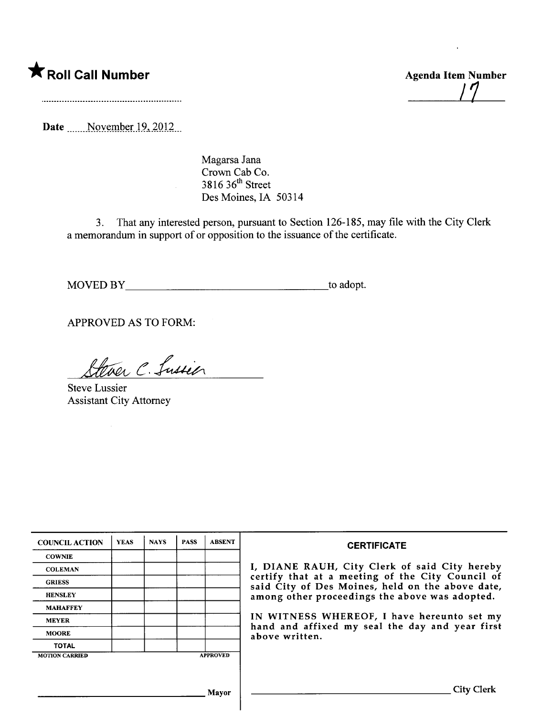\* Roll Call Number Agenda Item Number

/7

Date \_\_\_\_\_November 19, 2012

Magarsa Jana Crown Cab Co.  $3816$   $36$ <sup>th</sup> Street Des Moines, IA 50314

3. That any interested person, pursuant to Section 126-185, may file with the City Clerk a memorandum in support of or opposition to the issuance of the certificate.

MOVED BY to adopt.

APPROVED AS TO FORM:

Ever C. Lussier

Steve Lussier Assistant City Attorney

| <b>COUNCIL ACTION</b> | <b>YEAS</b> | <b>NAYS</b> | <b>PASS</b> | <b>ABSENT</b>   | <b>CERTIFICATE</b>                                                                                                                                                                                                                                                                                                         |
|-----------------------|-------------|-------------|-------------|-----------------|----------------------------------------------------------------------------------------------------------------------------------------------------------------------------------------------------------------------------------------------------------------------------------------------------------------------------|
| <b>COWNIE</b>         |             |             |             |                 | I, DIANE RAUH, City Clerk of said City hereby<br>certify that at a meeting of the City Council of<br>said City of Des Moines, held on the above date,<br>among other proceedings the above was adopted.<br>IN WITNESS WHEREOF, I have hereunto set my<br>hand and affixed my seal the day and year first<br>above written. |
| <b>COLEMAN</b>        |             |             |             |                 |                                                                                                                                                                                                                                                                                                                            |
| <b>GRIESS</b>         |             |             |             |                 |                                                                                                                                                                                                                                                                                                                            |
| <b>HENSLEY</b>        |             |             |             |                 |                                                                                                                                                                                                                                                                                                                            |
| <b>MAHAFFEY</b>       |             |             |             |                 |                                                                                                                                                                                                                                                                                                                            |
| <b>MEYER</b>          |             |             |             |                 |                                                                                                                                                                                                                                                                                                                            |
| <b>MOORE</b>          |             |             |             |                 |                                                                                                                                                                                                                                                                                                                            |
| <b>TOTAL</b>          |             |             |             |                 |                                                                                                                                                                                                                                                                                                                            |
| <b>MOTION CARRIED</b> |             |             |             | <b>APPROVED</b> |                                                                                                                                                                                                                                                                                                                            |
|                       |             |             |             |                 |                                                                                                                                                                                                                                                                                                                            |
|                       |             |             |             | Mayor           | <b>City Clerk</b>                                                                                                                                                                                                                                                                                                          |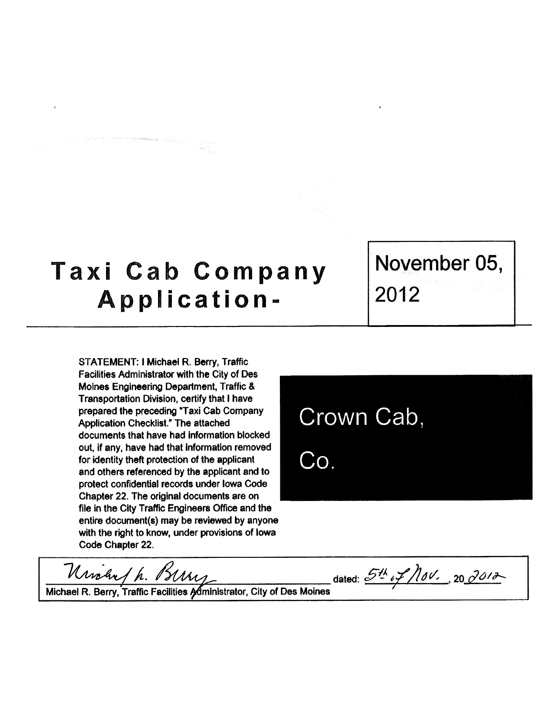# Taxi Cab Company Application-

STATEMENT: I Michael R. Berry, Traffic Facilities Administrator with the City of Des Moines Engineering Department, Traffic & Transportation Division. certify that i have prepared the preceding "Taxi Cab Company Application Checklist." The attached documents that have had information blocked out. if any, have had that information removed for identity theft protection of the appicant and others referenced by the applicant and to protect confidential records under Iowa Code Chapter 22. The original documents are on file in the City Traffic Engineers Office and the entire document(s) may be reviewed by anyon with the right to know, under provisions of lowa Code Chapter 22.

Urichn / h. Br

Crown Cab,  $Co.$ 

Michael R. Berry, Traffic Facilities Administrator, City of Des Moines

dated:  $54/101.20/012$ 

November 05, 2012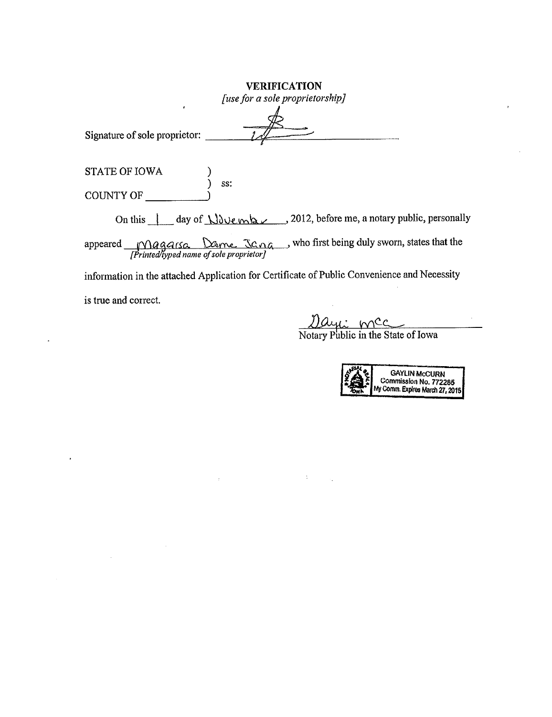| <b>VERIFICATION</b><br>[use for a sole proprietorship]                                                             |
|--------------------------------------------------------------------------------------------------------------------|
| Signature of sole proprietor:                                                                                      |
| <b>STATE OF IOWA</b><br>SS:<br><b>COUNTY OF</b>                                                                    |
| On this $\int$ day of $\int \int \int \int \ell(x) \, dx$ , 2012, before me, a notary public, personally           |
| appeared Magarso Dame Jana, who first being duly sworn, states that the<br>[Printed/typed name of sole proprietor] |
| information in the attached Application for Certificate of Public Convenience and Necessity                        |

 $\label{eq:2.1} \frac{1}{\sqrt{2}}\int_{\mathbb{R}^3}\frac{1}{\sqrt{2}}\left(\frac{1}{\sqrt{2}}\right)^2\frac{1}{\sqrt{2}}\left(\frac{1}{\sqrt{2}}\right)^2\frac{1}{\sqrt{2}}\left(\frac{1}{\sqrt{2}}\right)^2.$ 

is true and correct.

 $\label{eq:2.1} \frac{1}{2}\int_{\mathbb{R}^3}\left|\frac{d\mu}{d\mu}\right|^2\,d\mu\,d\mu\,d\mu\,.$  Then  $\mu$ 

 $\Box$ 

 $\bar{\mathbf{r}}$ 

Days mcc

Notary Public in the State of Iowa

 $\mathcal{L}^{\text{max}}_{\text{max}}$  and  $\mathcal{L}^{\text{max}}_{\text{max}}$ 

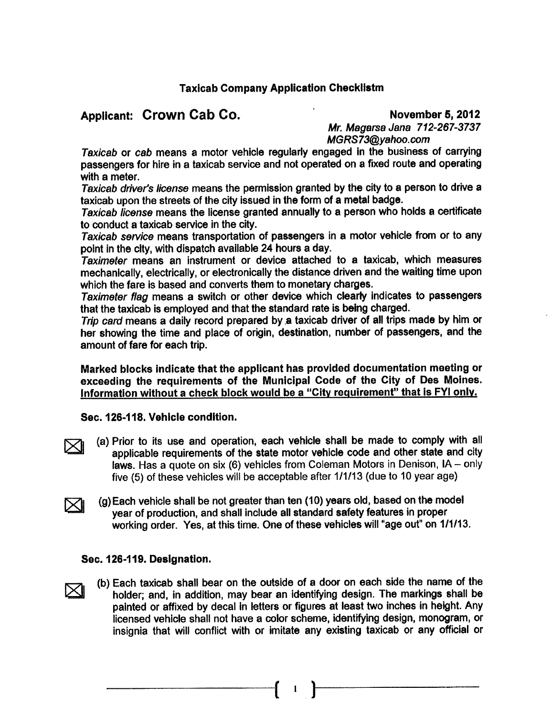### Applicant: Crown Cab Co. November 5, 2012

Mr. Magarsa Jana 712-267-3737 MGRS73@vahoo.com

Taxicab or cab means a motor vehicle regularly engaged ln the business of carrying passengers for hire in a taxicab service and not operated on a fixed route and operating with a meter.

Taxicab driver's license means the permission granted by the city to a person to drive a taxicab upon the streets of the city issued in the form of a metal badge.

Taxicab license means the license granted annually to a person who holds a certificate to conduct a taxicab service in the city.

Taxicab service means transportation of passengers in a motor vehicle from or to any point in the city. with dispatch available 24 hours a day.

Taximeter means an Instrument or device attached to a taxicab. which measures mechanically, electrically, or electronically the distance driven and the waiting time upon which the fare is based and converts them to monetary charges.

Taximeter flag means a switch or other device which clearly indicates to passengers that the taxicab is employed and that the standard rate is being charged.

Trip card means a daily record prepared by a taxicab driver of all trips made by him or her showing the time and place of origin, destination, number of passengers, and the amount of fare for each trip.

Marked blocks indicate that the applicant has provided documentation meeting or exceeding the requirements of the Municipal Code of the City of Des Moines. Information without a check block would be a "City requirement" that is FYI only.

#### Sec. 126-118. Vehicle condition.

- $\boxtimes$ l (a) Prior to its use and operation, each vehicle shall be made to comply with all applicable requirements of the state motor vehicle code and other state and city laws. Has a quote on six (6) vehicles from Coleman Motors in Denison, IA - only five (5) of these vehicles wil be acceptable after 1/1/13 (due to 10 year age)
- $\boxtimes$ l (g) Each vehicle shall be not greater than ten (10) years old, based on the model year of production, and shall include all standard safety features in proper working order. Yes, at this time. One of these vehicles wil "age out" on 1/1/13.

#### Sec. 126-119. Designation.

 $\nabla$ 

(b) Each taxicab shall bear on the outside of a door on each side the name of the holder; and, in addition, may bear an identifying design. The markings shall be painted or affixed by decal In letters or figures at least two inches in height. Any licensed vehicle shall not have a color scheme, identifying design, monogram, or insignia that will conflict with or imitate any existing taxicab or any official or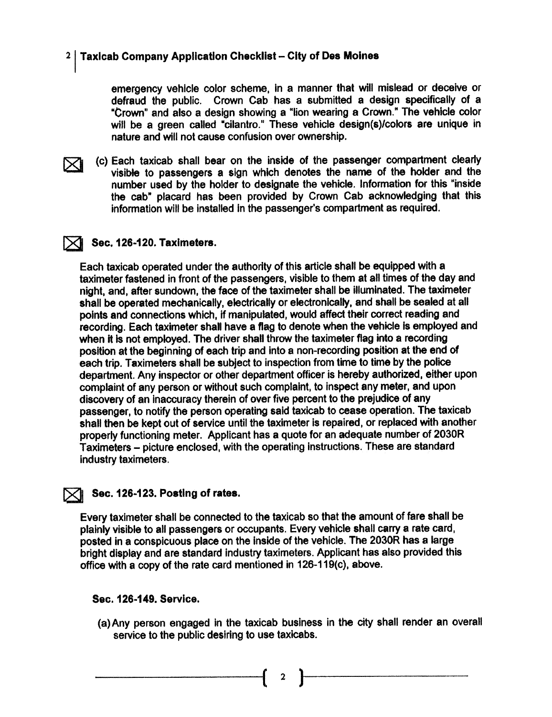emergency vehicle color scheme. in a manner that will mislead or deceive or defraud the public. Crown Cab has a submitted a design specifically of a "Crown" and also a design showing a "lion wearlng a Crow." The vehicle color will be a green called "cilantro." These vehicle design(s)/colors are unique in nature and will not cause confusion over ownership.



(c) Each taxicab shall bear on the inside of the passenger compartment clearly<br>visible to passengers a sign which denotes the name of the holder and the number used by the holder to designate the vehicle. Information for this "inside the cab" placard has been provided by Crown Cab acknowledging that this information will be installed in the passenger's compartment as required.

#### ~ S.ec. 126-120. Taximeters.

Each taxicab operated under the authority of this article shall be equipped with a taximeter fastened in front of the passengers, visible to them at all times of the day and night, and, after sundown, the face of the taximeter shall be illuminated. The taximeter shall be operated mechanically, electrically or electronically, and shall be sealed at all points and connections which, if manipulated, would affect their correct reading and recording. Each taximeter shall have a flag to denote when the vehicle is employed and when it is not employed. The driver shall throw the taximeter flag into a recording position at the beginning of each trip and into a non-recording position at the end of each trip. Taximeters shall be subject to inspection from time to time by the police department. Any inspector or other department officer is hereby authorized, either upon complaint of any person or without such complaint. to inspect amy meter. and upon discovery of an inaccuracy therein of over five percent to the prejudice of any passenger, to notify the person operating said taxicab to cease operation. The taxicab shall then be kept out of service until the taximeter is repaired. or replaced with another properly functioning meter. Applicant has a quote for an adequate number of 2030R Taxirneters - picture enclosed, with the operating instructions. These are standard industry taximeters.

#### Sec. 126-123. Posting of rates.

Every taximeter shalil be connected to the taxicab so that the amount of fare shall be plainly visible to all passengers or occupants. Every vehicle shall carry a rate card, posted in a conspicuous place on the inside of the vehicle. The 2030R has a large bright display and are standard industry taximeters. Applicant has also provided this office with a copy of the rate card mentioned in  $126-119(c)$ , above.

#### Sec. 126-149. Service.

(a) Any person engaged in the taxicab business in the city shall render an overall service to the public desiring to use taxicabs.

 $\mathbf{2}$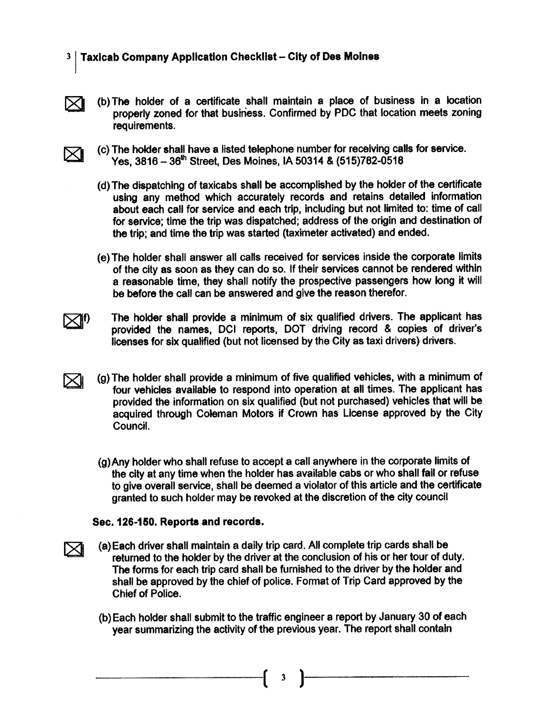- $\boxtimes$
- (b) The holder of a certificate shall maintain a place of business in a location properly zoned for that business. Confirmed by PDC that location meets zoning requirements.



- (c) The holder shall have a listed telephone number for receiving calls for service. Yes, 3816 - 36th Street, Des Moines, IA 50314 & (515)782-0518
- (d) The dispatching of taxicabs shall be accomplished by the holder of the certificate using any method which accurately records and retains detailed information about each call for service and each trip, including but not limited to: time of call for service; time the trip was dispatched; address of the origin and destination of the trip; and time the trip was started (taximeter activated) and ended.
- (e) The holder shall answer all calls received for services inside the corporate limits of the city as son as they can do so. If their services cannot be rendered wihin a reasonable time, they shall notify the prospecive passengers how long it wil be before the call can be answered and give the reason therefor.

 $\bowtie$ <sup>1</sup>

 $\bowtie$ 

**XI** 

The holder shall provide a minimum of six qualified drivers. The applicant has provided the names. DCI reports, DOT driving record & copies of driver's licenses for six qualified (but not licensed by the City as taxi drivers) drivers.

- $(q)$  The holder shall provide a minimum of five qualified vehicles, with a minimum of four vehicles available to respond into operation at all times. The applicant has provided the information on six qualified (but not purchased) vehicles that will be acquired through Coleman Motors if Crown has License approved by the City Council.
	- (g)Any holder who shalt refuse to accept a call anywhere in the corporate limits of the city at any time when the holder has available cabs or who shall fail or refuse to give overall service, shall be deemed a violator of this article and the certificate granted to such holder may be revoked at the discretion of the city concil

#### Sec. 126-150. Reports and records.

- (8) Each driver shall maintain a dally trip card. Allcomplete trip cards shall be returned to the holder by the driver at the conclusion of his or her tour of duty. The forms for each trip card shall be furnished to the driver by the holder and shall be approved by the chief of police. Format of Trip Card approved by the Chief of Police.
- (b) Each holder shall submit to the traffic engineer a report by January 30 of each year summarizing the activity of the previous year. The report shall contain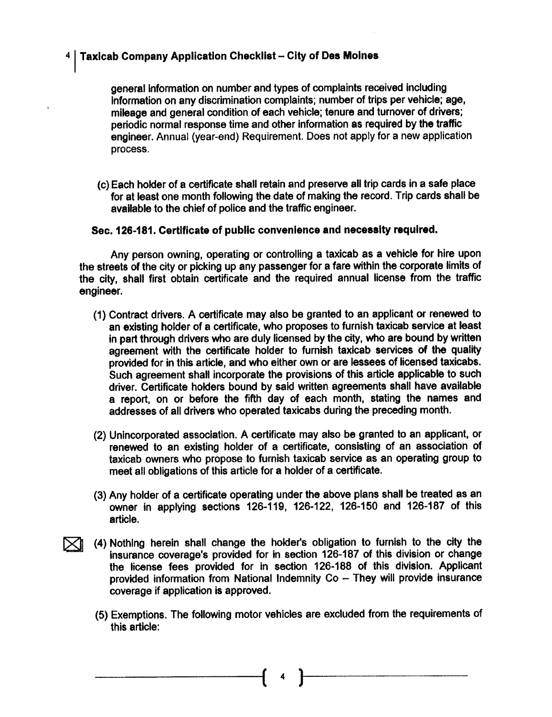general information on number and types of complaints received including information on any discrimination complaints; number of trips per vehicle; age, mileage and general condition of each vehicle; tenure and turnover of drivers; periodic normal response time and other information as required by the traffic engineer. Annual (year-end) Requirement. Does not apply for a new application process.

(c) Each holder of a certificate shall retain and preserve all trip cards in a safe place for at least one month following the date of making the record. Trip cards shall be available to the chief of police and the traffic engineer.

#### Sec. 126-181. Certficate of public convenience and necessity required.

Any person owning, operating or controlling a taxicab as a vehicle for hire upon the streets of the city or picking up any passenger for a fare within the corporate limits of the city, shall first obtain certificate and the required annual license from the traffc engineer.

- (1) Contract drivers. A certificate may also be granted to an applicant or renewed to an existing holder of a certificate. who proposes to furnish taxicab service at least in part through drivers who are duly licensed by the city, who are bound by written agreement with the certificate holder to furnish taxicab services of the quality provided for in this article, and who either own or are lessees of licensed taxicabs. Such agreement shall incorporate the provisions of this article applicable to such driver. Certificate holders bound by said written agreements shall have available a report, on or before the fifth day of each month, stating the names and addresses of all drivers who operated taxicabs during the preceding month.
- (2) Unincorporated association. A certificate may also be granted to an applicant, or renewed to an existing holder of a certificate, consisting of an association of taxicab owners who propose to furnish taxicab service as an operating group to meet all obligations of this article for a holder of a certificate.
- (3) Any holder of a certificate operating under the above plans shall be treated as an owner in applying sections 126-119, 126-122, 126-150 and 126-187 of this article.
- (4) Nothing herein shall change the holder's obligation to furnish to the city the<br>insurance coverage's provided for in section 126-187 of this division or change the license fees provided for in section 126-188 of this division. Applicant provided information from National Indemnity Co - They will provide insurance coverage if application is approved.
	- (5) Exemptions. The following motor vehicles are excluded from the requirements of this article:

( 4 )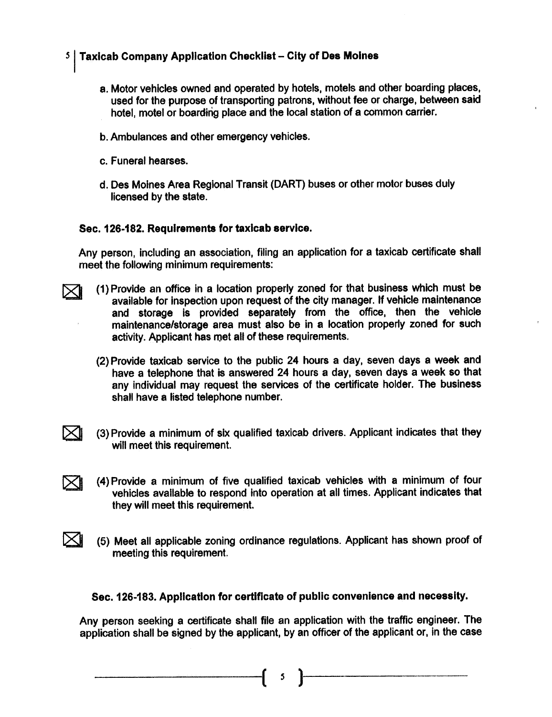- a. Motor vehicls owned and operated by hotels. motels and other bording places. used for the purpose of transporting patrons, without fee or charge. between said hotel, motel or boarding place and the local station of a common carrier.
- b. Ambulances and other emergency vehicles.
- c. Funeral hearses.

 $\bowtie$ 

d. Des Moines Area Regional Transit (DART) buses or other motor buses duly licensed by the state.

#### Sec. 126-182. Requirements for taxicab service.

Any person, including an association. filing an application for a taxicab certificate shall meet the following minimum requirements:

- $\bowtie$ (1) Provide an office in a location properly zoned for that business which must be available for inspection upon request of the city manager. If vehicle maintenance and storage is provided separately from the office, then the vehicle maintenance/storage area must also be in a location properly zoned for such activity. Applicant has met all of these requirements.
	- (2) Provide taxicab service to the public 24 hours a day, seven days a week and have a telephone that is answered 24 hours a day. seven days a week so that any individual may request the services of the certificate holder. The business shall have a listed telephone number.
- $\boxtimes$ (3) Provide a minimum of six qualified taxicab drivers. Applicant indicates that they will meet this requirement.
- $\bowtie$ (4) Provide a minimum of five qualified taxicab vehicles with a minimum of four vehicles available to respond into operation at all times. Applicant indicates that they will meet this requirement.
	- (5) Meet all applicable zoning ordinance regulations. Applicant has shown proof of meeting this requirement.

#### Sec. 126-183. Application for certficate of public convenience and necessity.

Any person seeking a certificate shall file an application with the traffic engineer. The application shall be signed by the applicant, by an officer of the applicant or, in the case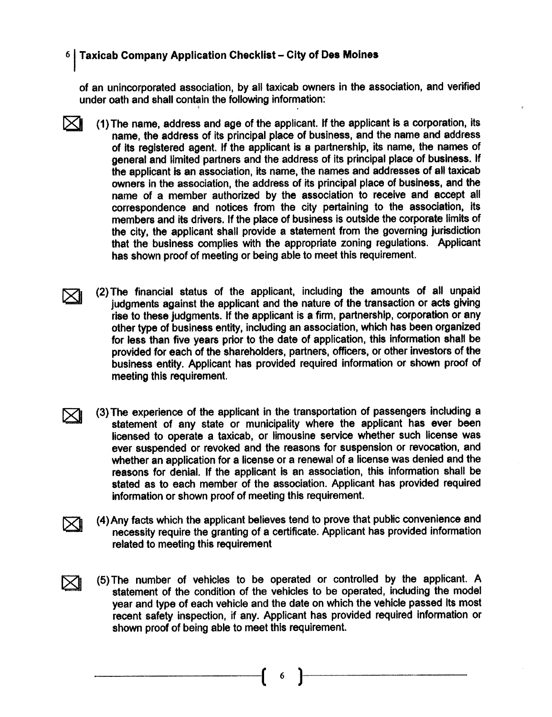of an unincorporated association, by all taxicab owners in the association, and verified under oath and shall contain the followng information: , .

- $\bowtie$ (1) The name, address and age of the applicant. If the applicant is a corporation, its name, the address of its principal place of business, and the name and address of its registered agent. If the applicant is a partnership, its name, the names of general and limited partners and the address of its principal place of business. If the applicant is an association, its name, the names and addresses of all taxicab owners in the association, the address of its principal place of business, and the name of a member authorized by the association to receive and accept all correspondence and notices from the city pertaining to the association, its members and its drivers. If the place of business is outside the corporate limits of the city, the applicant shall provide a statement from the governing jurisdiction that the business complies with the appropriate zoning regulations. Applicant has shown proof of meeting or being able to meet this requirement.
- $\bowtie$ (2) The financial status of the applicant, including the amounts of all unpaid judgments against the applicant and the nature of the transaction or acts giving rise to these judgments. If the applicant is a firm, partnership, corporation or any other type of business entity, including an association, which has been organized for less than five years prior to the date of application, this information shall be provided for each of the shareholders, partners, officers, or other investors of the business entity. Applicant has provided required information or shown proof of meeting this requirement.
- $\bowtie$ (3) The experience of the applicant in the transportation of passengers including a statement of any state or municipality where the applicant has ever been licensed to operate a taxicab, or limousine service whether such license was ever suspended or revoked and the reasons for suspension or revocation, and whether an application for a license or a renewal of a license was denied and the reasons for denial. If the applicant is an association, this information shall be stated as to each member of the association. Applicant has provided required information or shown proof of meeting this requirement.
- $\boxtimes$ (4)Any facts which the applicant believes tend to prove that public convenience and necessity require the granting of a certificate. Applicant has provided information related to meeting this requirement
	- (5) The number of vehicles to be operated or controlled by the applicant. A statement of the condition of the vehicles to be operated, including the model year and type of each vehicle and the date on which the vehicle passed lts most recent safety inspection, if any. Applicant has provided required information or shown proof of being able to meet this requirement.

 $\boxtimes$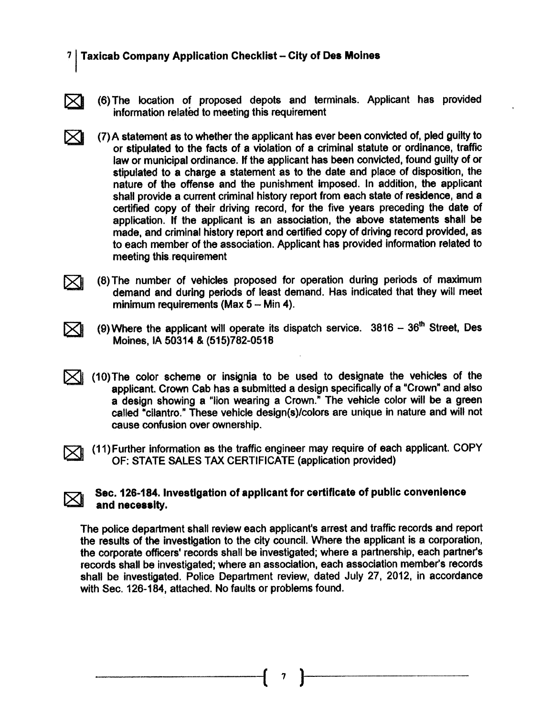$\bowtie$ 

 $\bowtie$ 

 $\boxtimes$ 

- (6) The location of proposed depots and terminals. Applicant has provided information related to meeting this requirement
- $\bowtie$ (7) A statement as to whether the applicant has ever been convicted of, pled guilty to or stipulated to the facts of a violation of a criminal statute or ordinance, traff law or municipal ordinance. If the applicant has been convicted, found guilty of or stipulated to a charge a statement as to the date and place of disposition, the nature of the offense and the punishment impoed. In addition, the applicant shalt provide a current criminal history report from each state of residence, and a certified copy of their driving record, for the five years preceding the date of application. If the applicant is an association, the above statements shall be made, and criminal history report and certified copy of driving record provided, as to each member of the association. Applicant has provided information related to meeting this- requirement
- $\bowtie$ (8) The number of vehicles proposed for operation during periods of maximum demand and during periods of least demand. Has indicated that they will meet minimum requirements (Max  $5 -$  Min 4).
	- (9) Where the applicant will operate its dispatch service.  $3816 36$ <sup>th</sup> Street, Des Moines, IA 50314 & (515)782-0518
- $\boxtimes$  (10) The color scheme or insignia to be used to designate the vehicles of the solution of a "Crown" and also applicant. Crown Cab has a submitted a design specifically of a "Crown" and also a design showing a "lion wearing a Crown." The vehicle color will be a green called "cilantro." These vehicle design(s)/colors are unique in nature and will not cause confusion over ownership.

 $\bowtie$ (11) Further information as the traffic engineer may require of each applicant. COPY OF: STATE SALES TAX CERTIFICATE (application provided)

#### Sec. 126-184. Investigation of applicant for certificate of public convenience and necessity.

The police department shall review each applicant's arrest and traffic records and report the results of the investigation to the city council. Where the applicant is a corporation, the corporate officers' records shall be investigated; where a partnership, each partner's records shall be investigated; where an association, each association member's records shall be investigated. Police Department review, dated July 27, 2012, in accordance with Sec. 126-184, attached. No faults or problems found.

 $\left( \begin{array}{c} \n\end{array} \right)$